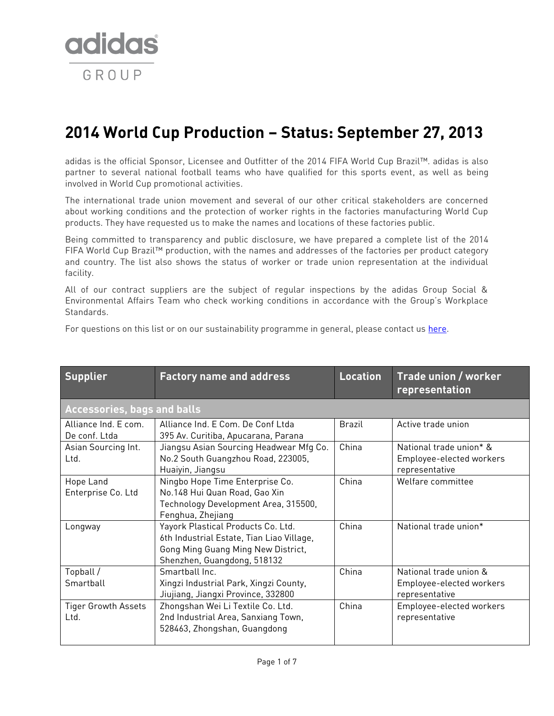

## **2014 World Cup Production – Status: September 27, 2013**

adidas is the official Sponsor, Licensee and Outfitter of the 2014 FIFA World Cup Brazil™. adidas is also partner to several national football teams who have qualified for this sports event, as well as being involved in World Cup promotional activities.

The international trade union movement and several of our other critical stakeholders are concerned about working conditions and the protection of worker rights in the factories manufacturing World Cup products. They have requested us to make the names and locations of these factories public.

Being committed to transparency and public disclosure, we have prepared a complete list of the 2014 FIFA World Cup Brazil™ production, with the names and addresses of the factories per product category and country. The list also shows the status of worker or trade union representation at the individual facility.

All of our contract suppliers are the subject of regular inspections by the adidas Group Social & Environmental Affairs Team who check working conditions in accordance with the Group's Workplace Standards.

For questions on this list or on our sustainability programme in general, please contact us [here.](http://www.adidas-group.com/en/sustainability/sustainability-contact/)

| <b>Supplier</b>                       | <b>Factory name and address</b>                                                                                                                      | <b>Location</b> | Trade union / worker<br>representation                                |  |
|---------------------------------------|------------------------------------------------------------------------------------------------------------------------------------------------------|-----------------|-----------------------------------------------------------------------|--|
|                                       | <b>Accessories, bags and balls</b>                                                                                                                   |                 |                                                                       |  |
| Alliance Ind. E com.<br>De conf. Ltda | Alliance Ind. E Com. De Conf Ltda<br>395 Av. Curitiba, Apucarana, Parana                                                                             | <b>Brazil</b>   | Active trade union                                                    |  |
| Asian Sourcing Int.<br>Ltd.           | Jiangsu Asian Sourcing Headwear Mfg Co.<br>No.2 South Guangzhou Road, 223005,<br>Huaiyin, Jiangsu                                                    | China           | National trade union* &<br>Employee-elected workers<br>representative |  |
| Hope Land<br>Enterprise Co. Ltd       | Ningbo Hope Time Enterprise Co.<br>No.148 Hui Quan Road, Gao Xin<br>Technology Development Area, 315500,<br>Fenghua, Zhejiang                        | China           | Welfare committee                                                     |  |
| Longway                               | Yayork Plastical Products Co. Ltd.<br>6th Industrial Estate, Tian Liao Village,<br>Gong Ming Guang Ming New District,<br>Shenzhen, Guangdong, 518132 | China           | National trade union*                                                 |  |
| Topball /<br>Smartball                | Smarthall Inc.<br>Xingzi Industrial Park, Xingzi County,<br>Jiujiang, Jiangxi Province, 332800                                                       | China           | National trade union &<br>Employee-elected workers<br>representative  |  |
| <b>Tiger Growth Assets</b><br>Ltd.    | Zhongshan Wei Li Textile Co. Ltd.<br>2nd Industrial Area, Sanxiang Town,<br>528463, Zhongshan, Guangdong                                             | China           | Employee-elected workers<br>representative                            |  |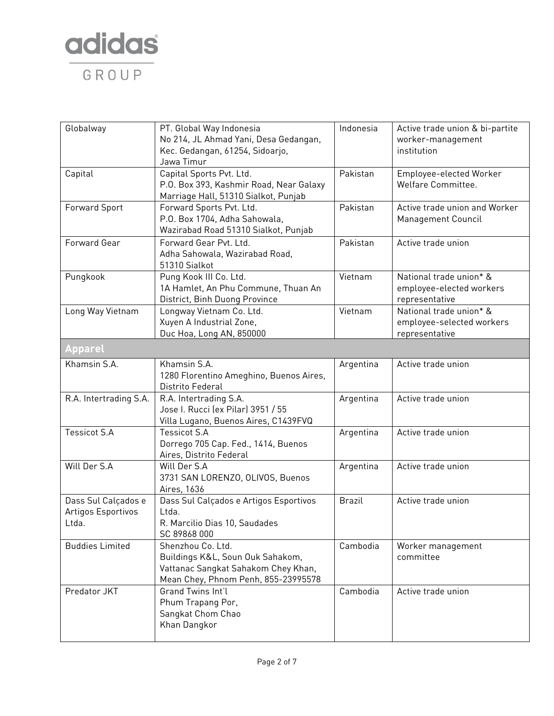

| Globalway                                          | PT. Global Way Indonesia<br>No 214, JL Ahmad Yani, Desa Gedangan,<br>Kec. Gedangan, 61254, Sidoarjo,<br>Jawa Timur                  | Indonesia     | Active trade union & bi-partite<br>worker-management<br>institution    |
|----------------------------------------------------|-------------------------------------------------------------------------------------------------------------------------------------|---------------|------------------------------------------------------------------------|
| Capital                                            | Capital Sports Pvt. Ltd.<br>P.O. Box 393, Kashmir Road, Near Galaxy<br>Marriage Hall, 51310 Sialkot, Punjab                         | Pakistan      | Employee-elected Worker<br>Welfare Committee.                          |
| <b>Forward Sport</b>                               | Forward Sports Pvt. Ltd.<br>P.O. Box 1704, Adha Sahowala,<br>Wazirabad Road 51310 Sialkot, Punjab                                   | Pakistan      | Active trade union and Worker<br>Management Council                    |
| Forward Gear                                       | Forward Gear Pvt. Ltd.<br>Adha Sahowala, Wazirabad Road,<br>51310 Sialkot                                                           | Pakistan      | Active trade union                                                     |
| Pungkook                                           | Pung Kook III Co. Ltd.<br>1A Hamlet, An Phu Commune, Thuan An<br>District, Binh Duong Province                                      | Vietnam       | National trade union* &<br>employee-elected workers<br>representative  |
| Long Way Vietnam                                   | Longway Vietnam Co. Ltd.<br>Xuyen A Industrial Zone,<br>Duc Hoa, Long AN, 850000                                                    | Vietnam       | National trade union* &<br>employee-selected workers<br>representative |
| <b>Apparel</b>                                     |                                                                                                                                     |               |                                                                        |
| Khamsin S.A.                                       | Khamsin S.A.<br>1280 Florentino Ameghino, Buenos Aires,<br>Distrito Federal                                                         | Argentina     | Active trade union                                                     |
| R.A. Intertrading S.A.                             | R.A. Intertrading S.A.<br>Jose I. Rucci (ex Pilar) 3951 / 55<br>Villa Lugano, Buenos Aires, C1439FVQ                                | Argentina     | Active trade union                                                     |
| <b>Tessicot S.A</b>                                | <b>Tessicot S.A</b><br>Dorrego 705 Cap. Fed., 1414, Buenos<br>Aires, Distrito Federal                                               | Argentina     | Active trade union                                                     |
| Will Der S.A                                       | Will Der S.A<br>3731 SAN LORENZO, OLIVOS, Buenos<br>Aires, 1636                                                                     | Argentina     | Active trade union                                                     |
| Dass Sul Calçados e<br>Artigos Esportivos<br>Ltda. | Dass Sul Calçados e Artigos Esportivos<br>Ltda.<br>R. Marcilio Dias 10, Saudades<br>SC 89868 000                                    | <b>Brazil</b> | Active trade union                                                     |
| <b>Buddies Limited</b>                             | Shenzhou Co. Ltd.<br>Buildings K&L, Soun Ouk Sahakom,<br>Vattanac Sangkat Sahakom Chey Khan,<br>Mean Chey, Phnom Penh, 855-23995578 | Cambodia      | Worker management<br>committee                                         |
| Predator JKT                                       | Grand Twins Int'l<br>Phum Trapang Por,<br>Sangkat Chom Chao<br>Khan Dangkor                                                         | Cambodia      | Active trade union                                                     |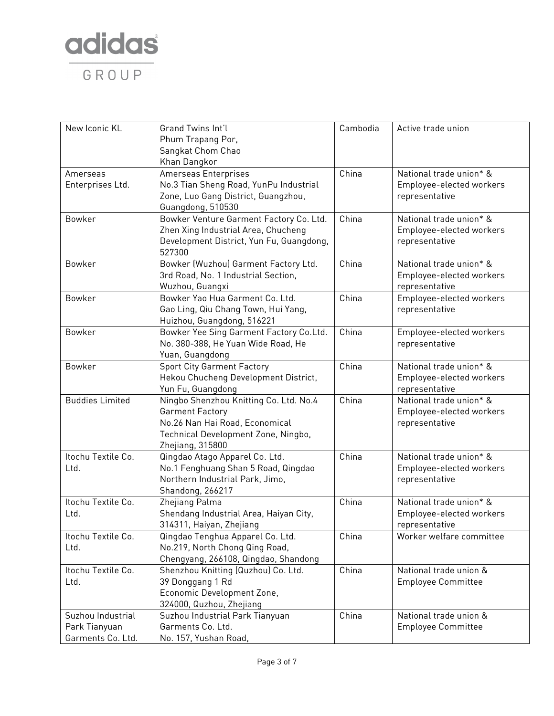

| New Iconic KL          | Grand Twins Int'l                        | Cambodia | Active trade union        |
|------------------------|------------------------------------------|----------|---------------------------|
|                        | Phum Trapang Por,                        |          |                           |
|                        | Sangkat Chom Chao                        |          |                           |
|                        | Khan Dangkor                             |          |                           |
| Amerseas               | Amerseas Enterprises                     | China    | National trade union* &   |
| Enterprises Ltd.       | No.3 Tian Sheng Road, YunPu Industrial   |          | Employee-elected workers  |
|                        | Zone, Luo Gang District, Guangzhou,      |          | representative            |
|                        | Guangdong, 510530                        |          |                           |
| <b>Bowker</b>          | Bowker Venture Garment Factory Co. Ltd.  | China    | National trade union* &   |
|                        | Zhen Xing Industrial Area, Chucheng      |          | Employee-elected workers  |
|                        | Development District, Yun Fu, Guangdong, |          | representative            |
|                        | 527300                                   |          |                           |
| Bowker                 | Bowker (Wuzhou) Garment Factory Ltd.     | China    | National trade union* &   |
|                        | 3rd Road, No. 1 Industrial Section,      |          | Employee-elected workers  |
|                        | Wuzhou, Guangxi                          |          | representative            |
| Bowker                 | Bowker Yao Hua Garment Co. Ltd.          | China    | Employee-elected workers  |
|                        | Gao Ling, Qiu Chang Town, Hui Yang,      |          | representative            |
|                        | Huizhou, Guangdong, 516221               |          |                           |
| Bowker                 | Bowker Yee Sing Garment Factory Co.Ltd.  | China    | Employee-elected workers  |
|                        | No. 380-388, He Yuan Wide Road, He       |          | representative            |
|                        | Yuan, Guangdong                          |          |                           |
| Bowker                 | <b>Sport City Garment Factory</b>        | China    | National trade union* &   |
|                        | Hekou Chucheng Development District,     |          | Employee-elected workers  |
|                        | Yun Fu, Guangdong                        |          | representative            |
| <b>Buddies Limited</b> | Ningbo Shenzhou Knitting Co. Ltd. No.4   | China    | National trade union* &   |
|                        | Garment Factory                          |          | Employee-elected workers  |
|                        | No.26 Nan Hai Road, Economical           |          | representative            |
|                        | Technical Development Zone, Ningbo,      |          |                           |
|                        | Zhejiang, 315800                         |          |                           |
| Itochu Textile Co.     | Qingdao Atago Apparel Co. Ltd.           | China    | National trade union* &   |
| Ltd.                   | No.1 Fenghuang Shan 5 Road, Qingdao      |          | Employee-elected workers  |
|                        | Northern Industrial Park, Jimo,          |          | representative            |
|                        | <b>Shandong, 266217</b>                  |          |                           |
| Itochu Textile Co.     | Zhejiang Palma                           | China    | National trade union* &   |
| Ltd.                   | Shendang Industrial Area, Haiyan City,   |          | Employee-elected workers  |
|                        | 314311, Haiyan, Zhejiang                 |          | representative            |
| Itochu Textile Co.     | Qingdao Tenghua Apparel Co. Ltd.         | China    | Worker welfare committee  |
| Ltd.                   | No.219, North Chong Qing Road,           |          |                           |
|                        | Chengyang, 266108, Qingdao, Shandong     |          |                           |
| Itochu Textile Co.     | Shenzhou Knitting (Quzhou) Co. Ltd.      | China    | National trade union &    |
| Ltd.                   | 39 Donggang 1 Rd                         |          | <b>Employee Committee</b> |
|                        | Economic Development Zone,               |          |                           |
|                        | 324000, Quzhou, Zhejiang                 |          |                           |
| Suzhou Industrial      | Suzhou Industrial Park Tianyuan          | China    | National trade union &    |
| Park Tianyuan          | Garments Co. Ltd.                        |          | <b>Employee Committee</b> |
| Garments Co. Ltd.      | No. 157, Yushan Road,                    |          |                           |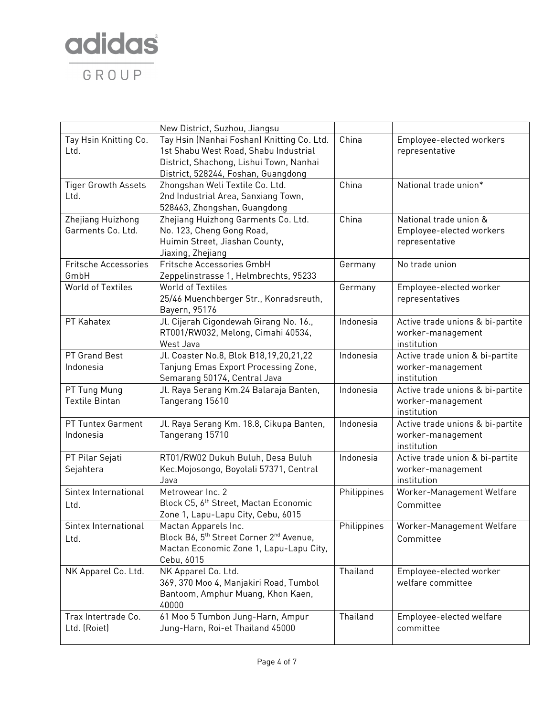

| Tay Hsin (Nanhai Foshan) Knitting Co. Ltd.<br>China<br>Tay Hsin Knitting Co.<br>Employee-elected workers<br>1st Shabu West Road, Shabu Industrial<br>Ltd.<br>representative<br>District, Shachong, Lishui Town, Nanhai<br>District, 528244, Foshan, Guangdong<br>China<br>National trade union*<br><b>Tiger Growth Assets</b><br>Zhongshan Weli Textile Co. Ltd.<br>2nd Industrial Area, Sanxiang Town,<br>Ltd.<br>528463, Zhongshan, Guangdong<br>China<br>Zhejiang Huizhong<br>National trade union &<br>Zhejiang Huizhong Garments Co. Ltd.<br>Garments Co. Ltd.<br>No. 123, Cheng Gong Road,<br>Employee-elected workers<br>Huimin Street, Jiashan County,<br>representative |
|----------------------------------------------------------------------------------------------------------------------------------------------------------------------------------------------------------------------------------------------------------------------------------------------------------------------------------------------------------------------------------------------------------------------------------------------------------------------------------------------------------------------------------------------------------------------------------------------------------------------------------------------------------------------------------|
|                                                                                                                                                                                                                                                                                                                                                                                                                                                                                                                                                                                                                                                                                  |
|                                                                                                                                                                                                                                                                                                                                                                                                                                                                                                                                                                                                                                                                                  |
|                                                                                                                                                                                                                                                                                                                                                                                                                                                                                                                                                                                                                                                                                  |
|                                                                                                                                                                                                                                                                                                                                                                                                                                                                                                                                                                                                                                                                                  |
|                                                                                                                                                                                                                                                                                                                                                                                                                                                                                                                                                                                                                                                                                  |
|                                                                                                                                                                                                                                                                                                                                                                                                                                                                                                                                                                                                                                                                                  |
|                                                                                                                                                                                                                                                                                                                                                                                                                                                                                                                                                                                                                                                                                  |
|                                                                                                                                                                                                                                                                                                                                                                                                                                                                                                                                                                                                                                                                                  |
|                                                                                                                                                                                                                                                                                                                                                                                                                                                                                                                                                                                                                                                                                  |
|                                                                                                                                                                                                                                                                                                                                                                                                                                                                                                                                                                                                                                                                                  |
| Jiaxing, Zhejiang                                                                                                                                                                                                                                                                                                                                                                                                                                                                                                                                                                                                                                                                |
| Fritsche Accessories GmbH<br><b>Fritsche Accessories</b><br>No trade union<br>Germany                                                                                                                                                                                                                                                                                                                                                                                                                                                                                                                                                                                            |
| GmbH<br>Zeppelinstrasse 1, Helmbrechts, 95233                                                                                                                                                                                                                                                                                                                                                                                                                                                                                                                                                                                                                                    |
| <b>World of Textiles</b><br><b>World of Textiles</b><br>Employee-elected worker<br>Germany                                                                                                                                                                                                                                                                                                                                                                                                                                                                                                                                                                                       |
| 25/46 Muenchberger Str., Konradsreuth,<br>representatives                                                                                                                                                                                                                                                                                                                                                                                                                                                                                                                                                                                                                        |
| Bayern, 95176                                                                                                                                                                                                                                                                                                                                                                                                                                                                                                                                                                                                                                                                    |
| Jl. Cijerah Cigondewah Girang No. 16.,<br>PT Kahatex<br>Indonesia<br>Active trade unions & bi-partite                                                                                                                                                                                                                                                                                                                                                                                                                                                                                                                                                                            |
| RT001/RW032, Melong, Cimahi 40534,<br>worker-management                                                                                                                                                                                                                                                                                                                                                                                                                                                                                                                                                                                                                          |
| West Java<br>institution<br>PT Grand Best                                                                                                                                                                                                                                                                                                                                                                                                                                                                                                                                                                                                                                        |
| Jl. Coaster No.8, Blok B18,19,20,21,22<br>Indonesia<br>Active trade union & bi-partite<br>Indonesia                                                                                                                                                                                                                                                                                                                                                                                                                                                                                                                                                                              |
| Tanjung Emas Export Processing Zone,<br>worker-management<br>Semarang 50174, Central Java<br>institution                                                                                                                                                                                                                                                                                                                                                                                                                                                                                                                                                                         |
| PT Tung Mung<br>Jl. Raya Serang Km.24 Balaraja Banten,<br>Active trade unions & bi-partite<br>Indonesia                                                                                                                                                                                                                                                                                                                                                                                                                                                                                                                                                                          |
| <b>Textile Bintan</b><br>Tangerang 15610<br>worker-management                                                                                                                                                                                                                                                                                                                                                                                                                                                                                                                                                                                                                    |
| institution                                                                                                                                                                                                                                                                                                                                                                                                                                                                                                                                                                                                                                                                      |
| PT Tuntex Garment<br>Jl. Raya Serang Km. 18.8, Cikupa Banten,<br>Active trade unions & bi-partite<br>Indonesia                                                                                                                                                                                                                                                                                                                                                                                                                                                                                                                                                                   |
| Tangerang 15710<br>Indonesia<br>worker-management                                                                                                                                                                                                                                                                                                                                                                                                                                                                                                                                                                                                                                |
| institution                                                                                                                                                                                                                                                                                                                                                                                                                                                                                                                                                                                                                                                                      |
| RT01/RW02 Dukuh Buluh, Desa Buluh<br>Active trade union & bi-partite<br>PT Pilar Sejati<br>Indonesia                                                                                                                                                                                                                                                                                                                                                                                                                                                                                                                                                                             |
| Kec. Mojosongo, Boyolali 57371, Central<br>Sejahtera<br>worker-management                                                                                                                                                                                                                                                                                                                                                                                                                                                                                                                                                                                                        |
| institution<br>Java                                                                                                                                                                                                                                                                                                                                                                                                                                                                                                                                                                                                                                                              |
| Sintex International<br>Metrowear Inc. 2<br>Worker-Management Welfare<br>Philippines                                                                                                                                                                                                                                                                                                                                                                                                                                                                                                                                                                                             |
| Block C5, 6th Street, Mactan Economic<br>Committee<br>Ltd.                                                                                                                                                                                                                                                                                                                                                                                                                                                                                                                                                                                                                       |
| Zone 1, Lapu-Lapu City, Cebu, 6015                                                                                                                                                                                                                                                                                                                                                                                                                                                                                                                                                                                                                                               |
| Philippines<br>Worker-Management Welfare<br>Sintex International<br>Mactan Apparels Inc.                                                                                                                                                                                                                                                                                                                                                                                                                                                                                                                                                                                         |
| Block B6, 5 <sup>th</sup> Street Corner 2 <sup>nd</sup> Avenue,<br>Committee<br>Ltd.                                                                                                                                                                                                                                                                                                                                                                                                                                                                                                                                                                                             |
| Mactan Economic Zone 1, Lapu-Lapu City,                                                                                                                                                                                                                                                                                                                                                                                                                                                                                                                                                                                                                                          |
| Cebu, 6015                                                                                                                                                                                                                                                                                                                                                                                                                                                                                                                                                                                                                                                                       |
| Thailand<br>NK Apparel Co. Ltd.<br>NK Apparel Co. Ltd.<br>Employee-elected worker                                                                                                                                                                                                                                                                                                                                                                                                                                                                                                                                                                                                |
| 369, 370 Moo 4, Manjakiri Road, Tumbol<br>welfare committee                                                                                                                                                                                                                                                                                                                                                                                                                                                                                                                                                                                                                      |
| Bantoom, Amphur Muang, Khon Kaen,                                                                                                                                                                                                                                                                                                                                                                                                                                                                                                                                                                                                                                                |
| 40000                                                                                                                                                                                                                                                                                                                                                                                                                                                                                                                                                                                                                                                                            |
| 61 Moo 5 Tumbon Jung-Harn, Ampur<br>Trax Intertrade Co.<br>Thailand<br>Employee-elected welfare                                                                                                                                                                                                                                                                                                                                                                                                                                                                                                                                                                                  |
| Ltd. (Roiet)<br>Jung-Harn, Roi-et Thailand 45000<br>committee                                                                                                                                                                                                                                                                                                                                                                                                                                                                                                                                                                                                                    |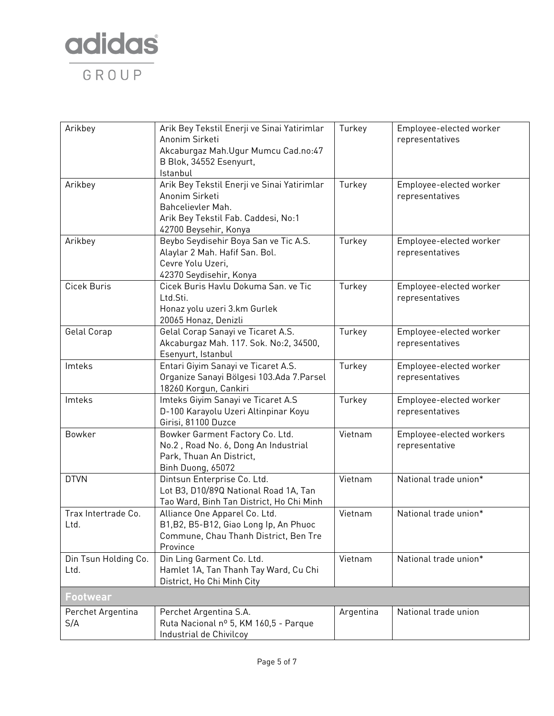

| Arikbey                      | Arik Bey Tekstil Enerji ve Sinai Yatirimlar<br>Anonim Sirketi<br>Akcaburgaz Mah.Ugur Mumcu Cad.no:47<br>B Blok, 34552 Esenyurt,<br>Istanbul        | Turkey    | Employee-elected worker<br>representatives |
|------------------------------|----------------------------------------------------------------------------------------------------------------------------------------------------|-----------|--------------------------------------------|
| Arikbey                      | Arik Bey Tekstil Enerji ve Sinai Yatirimlar<br>Anonim Sirketi<br>Bahcelievler Mah.<br>Arik Bey Tekstil Fab. Caddesi, No:1<br>42700 Beysehir, Konya | Turkey    | Employee-elected worker<br>representatives |
| Arikbey                      | Beybo Seydisehir Boya San ve Tic A.S.<br>Alaylar 2 Mah. Hafif San. Bol.<br>Cevre Yolu Uzeri,<br>42370 Seydisehir, Konya                            | Turkey    | Employee-elected worker<br>representatives |
| Cicek Buris                  | Cicek Buris Havlu Dokuma San. ve Tic<br>Ltd.Sti.<br>Honaz yolu uzeri 3.km Gurlek<br>20065 Honaz, Denizli                                           | Turkey    | Employee-elected worker<br>representatives |
| Gelal Corap                  | Gelal Corap Sanayi ve Ticaret A.S.<br>Akcaburgaz Mah. 117. Sok. No:2, 34500,<br>Esenyurt, Istanbul                                                 | Turkey    | Employee-elected worker<br>representatives |
| Imteks                       | Entari Giyim Sanayi ve Ticaret A.S.<br>Organize Sanayi Bölgesi 103.Ada 7.Parsel<br>18260 Korgun, Cankiri                                           | Turkey    | Employee-elected worker<br>representatives |
| Imteks                       | Imteks Giyim Sanayi ve Ticaret A.S<br>D-100 Karayolu Uzeri Altinpinar Koyu<br>Girisi, 81100 Duzce                                                  | Turkey    | Employee-elected worker<br>representatives |
| Bowker                       | Bowker Garment Factory Co. Ltd.<br>No.2, Road No. 6, Dong An Industrial<br>Park, Thuan An District,<br>Binh Duong, 65072                           | Vietnam   | Employee-elected workers<br>representative |
| <b>DTVN</b>                  | Dintsun Enterprise Co. Ltd.<br>Lot B3, D10/89Q National Road 1A, Tan<br>Tao Ward, Binh Tan District, Ho Chi Minh                                   | Vietnam   | National trade union*                      |
| Trax Intertrade Co.<br>Ltd.  | Alliance One Apparel Co. Ltd.<br>B1, B2, B5-B12, Giao Long Ip, An Phuoc<br>Commune, Chau Thanh District, Ben Tre<br>Province                       | Vietnam   | National trade union*                      |
| Din Tsun Holding Co.<br>Ltd. | Din Ling Garment Co. Ltd.<br>Hamlet 1A, Tan Thanh Tay Ward, Cu Chi<br>District, Ho Chi Minh City                                                   | Vietnam   | National trade union*                      |
| <b>Footwear</b>              |                                                                                                                                                    |           |                                            |
| Perchet Argentina<br>S/A     | Perchet Argentina S.A.<br>Ruta Nacional nº 5, KM 160,5 - Parque<br>Industrial de Chivilcoy                                                         | Argentina | National trade union                       |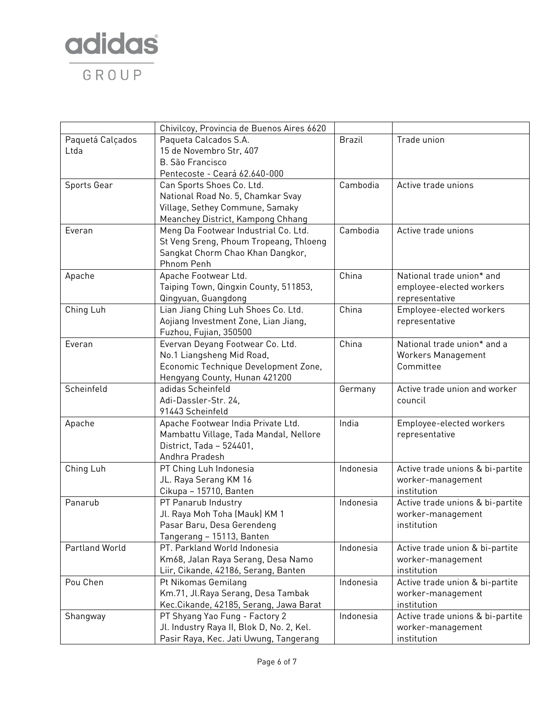

|                  | Chivilcoy, Provincia de Buenos Aires 6620 |               |                                  |
|------------------|-------------------------------------------|---------------|----------------------------------|
| Paquetá Calçados | Paqueta Calcados S.A.                     | <b>Brazil</b> | Trade union                      |
| Ltda             | 15 de Novembro Str, 407                   |               |                                  |
|                  | <b>B. São Francisco</b>                   |               |                                  |
|                  | Pentecoste - Ceará 62.640-000             |               |                                  |
| Sports Gear      | Can Sports Shoes Co. Ltd.                 | Cambodia      | Active trade unions              |
|                  | National Road No. 5, Chamkar Svay         |               |                                  |
|                  | Village, Sethey Commune, Samaky           |               |                                  |
|                  | Meanchey District, Kampong Chhang         |               |                                  |
| Everan           | Meng Da Footwear Industrial Co. Ltd.      | Cambodia      | Active trade unions              |
|                  | St Veng Sreng, Phoum Tropeang, Thloeng    |               |                                  |
|                  | Sangkat Chorm Chao Khan Dangkor,          |               |                                  |
|                  | Phnom Penh                                |               |                                  |
| Apache           | Apache Footwear Ltd.                      | China         | National trade union* and        |
|                  | Taiping Town, Qingxin County, 511853,     |               | employee-elected workers         |
|                  | Qingyuan, Guangdong                       |               | representative                   |
| Ching Luh        | Lian Jiang Ching Luh Shoes Co. Ltd.       | China         | Employee-elected workers         |
|                  | Aojiang Investment Zone, Lian Jiang,      |               | representative                   |
|                  | Fuzhou, Fujian, 350500                    |               |                                  |
| Everan           | Evervan Deyang Footwear Co. Ltd.          | China         | National trade union* and a      |
|                  | No.1 Liangsheng Mid Road,                 |               | Workers Management               |
|                  | Economic Technique Development Zone,      |               | Committee                        |
|                  | Hengyang County, Hunan 421200             |               |                                  |
| Scheinfeld       | adidas Scheinfeld                         | Germany       | Active trade union and worker    |
|                  | Adi-Dassler-Str. 24,                      |               | council                          |
|                  | 91443 Scheinfeld                          |               |                                  |
| Apache           | Apache Footwear India Private Ltd.        | India         | Employee-elected workers         |
|                  | Mambattu Village, Tada Mandal, Nellore    |               | representative                   |
|                  | District, Tada - 524401,                  |               |                                  |
|                  | Andhra Pradesh                            |               |                                  |
| Ching Luh        | PT Ching Luh Indonesia                    | Indonesia     | Active trade unions & bi-partite |
|                  | JL. Raya Serang KM 16                     |               | worker-management                |
|                  | Cikupa - 15710, Banten                    |               | institution                      |
| Panarub          | PT Panarub Industry                       | Indonesia     | Active trade unions & bi-partite |
|                  | Jl. Raya Moh Toha (Mauk) KM 1             |               | worker-management                |
|                  | Pasar Baru, Desa Gerendeng                |               | institution                      |
|                  | Tangerang - 15113, Banten                 |               |                                  |
| Partland World   | PT. Parkland World Indonesia              | Indonesia     | Active trade union & bi-partite  |
|                  | Km68, Jalan Raya Serang, Desa Namo        |               | worker-management                |
|                  | Liir, Cikande, 42186, Serang, Banten      |               | institution                      |
| Pou Chen         | Pt Nikomas Gemilang                       | Indonesia     | Active trade union & bi-partite  |
|                  | Km.71, Jl.Raya Serang, Desa Tambak        |               | worker-management                |
|                  | Kec.Cikande, 42185, Serang, Jawa Barat    |               | institution                      |
| Shangway         | PT Shyang Yao Fung - Factory 2            | Indonesia     | Active trade unions & bi-partite |
|                  | Jl. Industry Raya II, Blok D, No. 2, Kel. |               | worker-management                |
|                  | Pasir Raya, Kec. Jati Uwung, Tangerang    |               | institution                      |